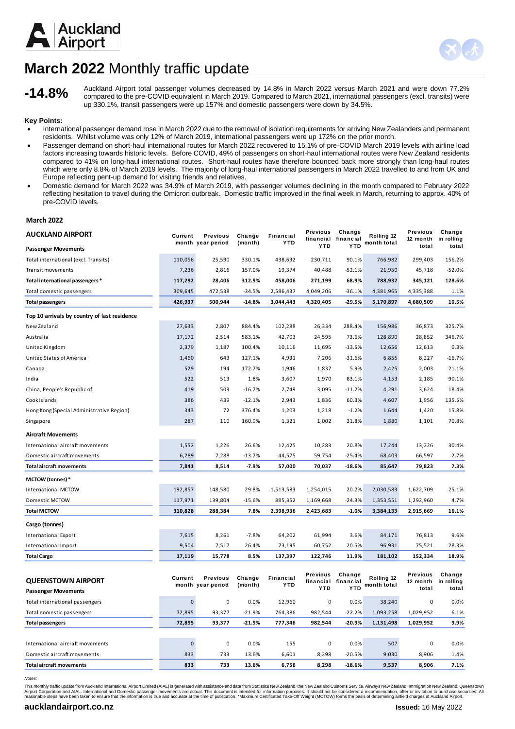



# **March 2022** Monthly traffic update

**-14.8%**

Auckland Airport total passenger volumes decreased by 14.8% in March 2022 versus March 2021 and were down 77.2% compared to the pre-COVID equivalent in March 2019. Compared to March 2021, international passengers (excl. transits) were up 330.1%, transit passengers were up 157% and domestic passengers were down by 34.5%.

### **Key Points:**

- International passenger demand rose in March 2022 due to the removal of isolation requirements for arriving New Zealanders and permanent residents. Whilst volume was only 12% of March 2019, international passengers were up 172% on the prior month.
- Passenger demand on short-haul international routes for March 2022 recovered to 15.1% of pre-COVID March 2019 levels with airline load factors increasing towards historic levels. Before COVID, 49% of passengers on short-haul international routes were New Zealand residents compared to 41% on long-haul international routes. Short-haul routes have therefore bounced back more strongly than long-haul routes which were only 8.8% of March 2019 levels. The majority of long-haul international passengers in March 2022 travelled to and from UK and Europe reflecting pent-up demand for visiting friends and relatives.
- Domestic demand for March 2022 was 34.9% of March 2019, with passenger volumes declining in the month compared to February 2022 reflecting hesitation to travel during the Omicron outbreak. Domestic traffic improved in the final week in March, returning to approx. 40% of pre-COVID levels.

#### **March 2022**

| AUCKLAND AIRPORT                             | Current   | Previous          | Change   | Financial  | Previous<br>financial | Change<br>financial | Rolling 12  | Previous<br>12 month | Change<br>in rolling |
|----------------------------------------------|-----------|-------------------|----------|------------|-----------------------|---------------------|-------------|----------------------|----------------------|
| <b>Passenger Movements</b>                   |           | month year period | (month)  | <b>YTD</b> | <b>YTD</b>            | <b>YTD</b>          | month total | total                | total                |
| Total international (excl. Transits)         | 110,056   | 25,590            | 330.1%   | 438,632    | 230,711               | 90.1%               | 766,982     | 299,403              | 156.2%               |
| <b>Transit movements</b>                     | 7,236     | 2,816             | 157.0%   | 19,374     | 40,488                | $-52.1%$            | 21,950      | 45,718               | $-52.0%$             |
| Total international passengers *             | 117,292   | 28,406            | 312.9%   | 458,006    | 271,199               | 68.9%               | 788,932     | 345,121              | 128.6%               |
| Total domestic passengers                    | 309,645   | 472,538           | $-34.5%$ | 2,586,437  | 4,049,206             | $-36.1%$            | 4,381,965   | 4,335,388            | 1.1%                 |
| <b>Total passengers</b>                      | 426,937   | 500,944           | $-14.8%$ | 3,044,443  | 4,320,405             | $-29.5%$            | 5,170,897   | 4,680,509            | 10.5%                |
| Top 10 arrivals by country of last residence |           |                   |          |            |                       |                     |             |                      |                      |
| New Zealand                                  | 27,633    | 2,807             | 884.4%   | 102,288    | 26,334                | 288.4%              | 156,986     | 36,873               | 325.7%               |
| Australia                                    | 17,172    | 2,514             | 583.1%   | 42,703     | 24,595                | 73.6%               | 128,890     | 28,852               | 346.7%               |
| United Kingdom                               | 2,379     | 1,187             | 100.4%   | 10,116     | 11,695                | $-13.5%$            | 12,656      | 12,613               | 0.3%                 |
| United States of America                     | 1,460     | 643               | 127.1%   | 4,931      | 7,206                 | $-31.6%$            | 6,855       | 8,227                | $-16.7%$             |
| Canada                                       | 529       | 194               | 172.7%   | 1,946      | 1,837                 | 5.9%                | 2,425       | 2,003                | 21.1%                |
| India                                        | 522       | 513               | 1.8%     | 3,607      | 1,970                 | 83.1%               | 4,153       | 2,185                | 90.1%                |
| China, People's Republic of                  | 419       | 503               | $-16.7%$ | 2,749      | 3,095                 | $-11.2%$            | 4,291       | 3,624                | 18.4%                |
| Cook Islands                                 | 386       | 439               | $-12.1%$ | 2,943      | 1,836                 | 60.3%               | 4,607       | 1,956                | 135.5%               |
| Hong Kong (Special Administrative Region)    | 343       | 72                | 376.4%   | 1,203      | 1,218                 | $-1.2%$             | 1,644       | 1,420                | 15.8%                |
| Singapore                                    | 287       | 110               | 160.9%   | 1,321      | 1,002                 | 31.8%               | 1,880       | 1,101                | 70.8%                |
| <b>Aircraft Movements</b>                    |           |                   |          |            |                       |                     |             |                      |                      |
| International aircraft movements             | 1,552     | 1,226             | 26.6%    | 12,425     | 10,283                | 20.8%               | 17,244      | 13,226               | 30.4%                |
| Domestic aircraft movements                  | 6,289     | 7,288             | $-13.7%$ | 44,575     | 59,754                | $-25.4%$            | 68,403      | 66,597               | 2.7%                 |
| <b>Total aircraft movements</b>              | 7,841     | 8,514             | $-7.9%$  | 57,000     | 70,037                | $-18.6%$            | 85,647      | 79,823               | 7.3%                 |
| <b>MCTOW</b> (tonnes) *                      |           |                   |          |            |                       |                     |             |                      |                      |
| <b>International MCTOW</b>                   | 192,857   | 148,580           | 29.8%    | 1,513,583  | 1,254,015             | 20.7%               | 2,030,583   | 1,622,709            | 25.1%                |
| Domestic MCTOW                               | 117,971   | 139,804           | $-15.6%$ | 885,352    | 1,169,668             | $-24.3%$            | 1,353,551   | 1,292,960            | 4.7%                 |
| <b>Total MCTOW</b>                           | 310,828   | 288,384           | 7.8%     | 2,398,936  | 2,423,683             | $-1.0%$             | 3,384,133   | 2,915,669            | 16.1%                |
| Cargo (tonnes)                               |           |                   |          |            |                       |                     |             |                      |                      |
| <b>International Export</b>                  | 7,615     | 8,261             | $-7.8%$  | 64,202     | 61,994                | 3.6%                | 84,171      | 76,813               | 9.6%                 |
| International Import                         | 9,504     | 7,517             | 26.4%    | 73,195     | 60,752                | 20.5%               | 96,931      | 75,521               | 28.3%                |
| <b>Total Cargo</b>                           | 17,119    | 15,778            | 8.5%     | 137,397    | 122,746               | 11.9%               | 181,102     | 152,334              | 18.9%                |
|                                              |           |                   |          |            |                       |                     |             |                      |                      |
| <b>QUEENSTOWN AIRPORT</b>                    | Current   | <b>Previous</b>   | Change   | Financial  | Previous<br>financial | Change<br>financial | Rolling 12  | Previous<br>12 month | Change<br>in rolling |
| <b>Passenger Movements</b>                   |           | month year period | (month)  | <b>YTD</b> | <b>YTD</b>            | <b>YTD</b>          | month total | total                | total                |
| Total international passengers               | $\pmb{0}$ | $\pmb{0}$         | 0.0%     | 12,960     | $\pmb{0}$             | 0.0%                | 38,240      | $\mathbf 0$          | 0.0%                 |
| Total domestic passengers                    | 72,895    | 93,377            | $-21.9%$ | 764,386    | 982,544               | $-22.2%$            | 1,093,258   | 1,029,952            | 6.1%                 |
| <b>Total passengers</b>                      | 72,895    | 93,377            | $-21.9%$ | 777,346    | 982,544               | $-20.9%$            | 1,131,498   | 1,029,952            | 9.9%                 |
|                                              |           |                   |          |            |                       |                     |             |                      |                      |
| International aircraft movements             | $\pmb{0}$ | 0                 | 0.0%     | 155        | 0                     | 0.0%                | 507         | 0                    | 0.0%                 |
| Domestic aircraft movements                  | 833       | 733               | 13.6%    | 6,601      | 8,298                 | $-20.5%$            | 9,030       | 8,906                | 1.4%                 |
| <b>Total aircraft movements</b>              | 833       | 733               | 13.6%    | 6,756      | 8,298                 | $-18.6%$            | 9,537       | 8,906                | 7.1%                 |
|                                              |           |                   |          |            |                       |                     |             |                      |                      |

*Notes:*

This monthly traffic update from Auckland International Airport Limited (AIAL) is generated with assistance and data from Statistics New Zealand, the New Zealand Customs Service, Airways New Zealand, Immigration New Zealan Airport Corporation and AIAL. International and Domestic passenger movements are actual. This document is intended for information purposes. It should not be considered a recommendation, offer or invitation to purchase sec